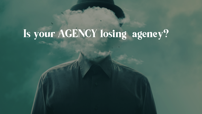# Is your AGENCY losing agency?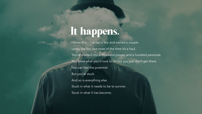## It happens.

I know this – I've run a few and owned a couple. Looks like fun, but most of the time it's a haul. You're divided into a thousand pieces, and a hundred personas. You know what you'd love to do but you just don't get there. You can feel the potential. But you're stuck. And so is everything else. Stuck in what it needs to be to survive. Stuck in what it has become.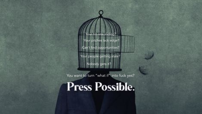Your pitches lack edge? Your hit rate sliding?

Can't find opportunities?

Your people getting stale? Nobody gets it?

You want to turn "what if" into fuck yes?

**Press Possible.**